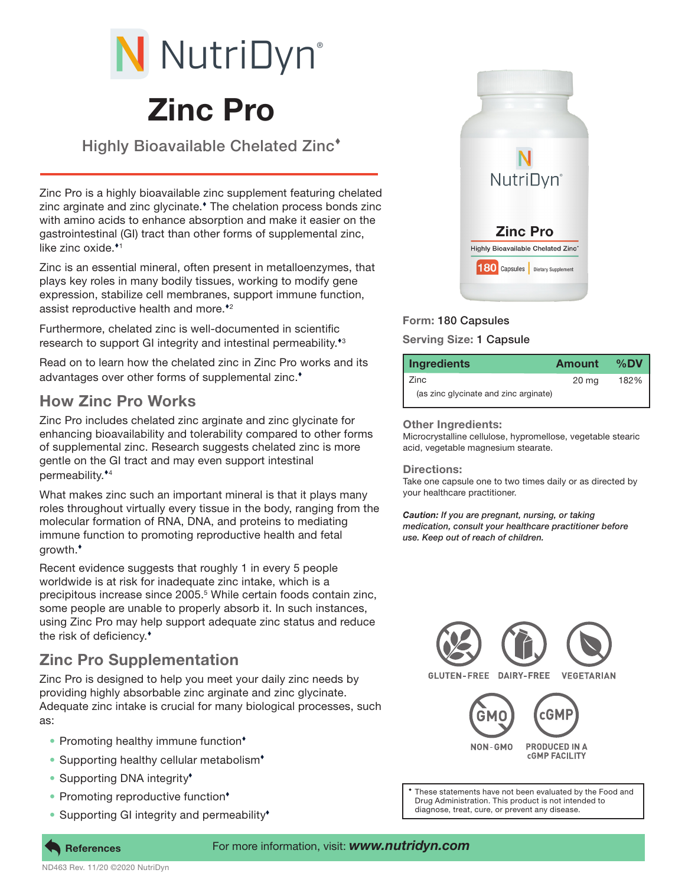# Zinc Pro N NutriDyn®

Highly Bioavailable Chelated Zinc

Zinc Pro is a highly bioavailable zinc supplement featuring chelated zinc arginate and zinc glycinate.<sup>\*</sup> The chelation process bonds zinc with amino acids to enhance absorption and make it easier on the gastrointestinal (GI) tract than other forms of supplemental zinc, like zinc oxide. 1

Zinc is an essential mineral, often present in metalloenzymes, that plays key roles in many bodily tissues, working to modify gene expression, stabilize cell membranes, support immune function, assist reproductive health and more.<sup>\*2</sup>

Furthermore, chelated zinc is well-documented in scientific research to support GI integrity and intestinal permeability.<sup>\*3</sup>

Read on to learn how the chelated zinc in Zinc Pro works and its advantages over other forms of supplemental zinc.

## How Zinc Pro Works

Zinc Pro includes chelated zinc arginate and zinc glycinate for enhancing bioavailability and tolerability compared to other forms of supplemental zinc. Research suggests chelated zinc is more gentle on the GI tract and may even support intestinal permeability. 4

What makes zinc such an important mineral is that it plays many roles throughout virtually every tissue in the body, ranging from the molecular formation of RNA, DNA, and proteins to mediating immune function to promoting reproductive health and fetal growth.

Recent evidence suggests that roughly 1 in every 5 people worldwide is at risk for inadequate zinc intake, which is a precipitous increase since 2005.<sup>5</sup> While certain foods contain zinc, some people are unable to properly absorb it. In such instances, using Zinc Pro may help support adequate zinc status and reduce the risk of deficiency.

### Zinc Pro Supplementation

Zinc Pro is designed to help you meet your daily zinc needs by providing highly absorbable zinc arginate and zinc glycinate. Adequate zinc intake is crucial for many biological processes, such as:

- Promoting healthy immune function<sup>\*</sup>
- Supporting healthy cellular metabolism<sup>+</sup>
- Supporting DNA integrity<sup>\*</sup>
- Promoting reproductive function<sup>\*</sup>
- Supporting GI integrity and permeability<sup>\*</sup>



# Form: 180 Capsules

#### Serving Size: 1 Capsule

| <b>Ingredients</b>                    | Amount           | %DV  |
|---------------------------------------|------------------|------|
| l Zinc                                | 20 <sub>mg</sub> | 182% |
| (as zinc glycinate and zinc arginate) |                  |      |

#### Other Ingredients:

Microcrystalline cellulose, hypromellose, vegetable stearic acid, vegetable magnesium stearate.

#### Directions:

Take one capsule one to two times daily or as directed by your healthcare practitioner.

*Caution: If you are pregnant, nursing, or taking medication, consult your healthcare practitioner before use. Keep out of reach of children.*



These statements have not been evaluated by the Food and Drug Administration. This product is not intended to diagnose, treat, cure, or prevent any disease.



#### For more information, visit: *www.nutridyn.com*